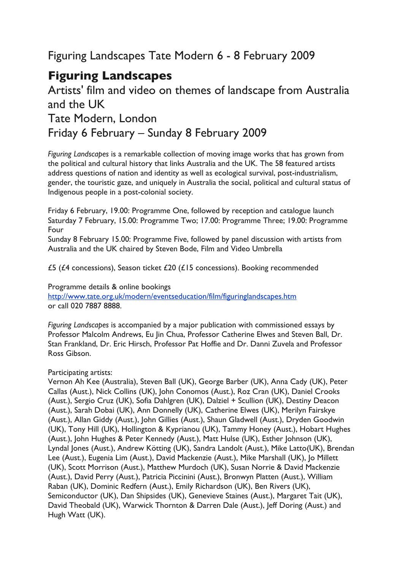## Figuring Landscapes Tate Modern 6 - 8 February 2009

## **Figuring Landscapes**

## Artists' film and video on themes of landscape from Australia and the UK Tate Modern, London Friday 6 February – Sunday 8 February 2009

*Figuring Landscapes* is a remarkable collection of moving image works that has grown from the political and cultural history that links Australia and the UK. The 58 featured artists address questions of nation and identity as well as ecological survival, post-industrialism, gender, the touristic gaze, and uniquely in Australia the social, political and cultural status of Indigenous people in a post-colonial society.

Friday 6 February, 19.00: Programme One, followed by reception and catalogue launch Saturday 7 February, 15.00: Programme Two; 17.00: Programme Three; 19.00: Programme Four

Sunday 8 February 15.00: Programme Five, followed by panel discussion with artists from Australia and the UK chaired by Steven Bode, Film and Video Umbrella

£5 (£4 concessions), Season ticket £20 (£15 concessions). Booking recommended

Programme details & online bookings http://www.tate.org.uk/modern/eventseducation/film/figuringlandscapes.htm or call 020 7887 8888.

*Figuring Landscapes* is accompanied by a major publication with commissioned essays by Professor Malcolm Andrews, Eu Jin Chua, Professor Catherine Elwes and Steven Ball, Dr. Stan Frankland, Dr. Eric Hirsch, Professor Pat Hoffie and Dr. Danni Zuvela and Professor Ross Gibson.

## Participating artists:

Vernon Ah Kee (Australia), Steven Ball (UK), George Barber (UK), Anna Cady (UK), Peter Callas (Aust.), Nick Collins (UK), John Conomos (Aust.), Roz Cran (UK), Daniel Crooks (Aust.), Sergio Cruz (UK), Sofia Dahlgren (UK), Dalziel + Scullion (UK), Destiny Deacon (Aust.), Sarah Dobai (UK), Ann Donnelly (UK), Catherine Elwes (UK), Merilyn Fairskye (Aust.), Allan Giddy (Aust.), John Gillies (Aust.), Shaun Gladwell (Aust.), Dryden Goodwin (UK), Tony Hill (UK), Hollington & Kyprianou (UK), Tammy Honey (Aust.), Hobart Hughes (Aust.), John Hughes & Peter Kennedy (Aust.), Matt Hulse (UK), Esther Johnson (UK), Lyndal Jones (Aust.), Andrew Kötting (UK), Sandra Landolt (Aust.), Mike Latto(UK), Brendan Lee (Aust.), Eugenia Lim (Aust.), David Mackenzie (Aust.), Mike Marshall (UK), Jo Millett (UK), Scott Morrison (Aust.), Matthew Murdoch (UK), Susan Norrie & David Mackenzie (Aust.), David Perry (Aust.), Patricia Piccinini (Aust.), Bronwyn Platten (Aust.), William Raban (UK), Dominic Redfern (Aust.), Emily Richardson (UK), Ben Rivers (UK), Semiconductor (UK), Dan Shipsides (UK), Genevieve Staines (Aust.), Margaret Tait (UK), David Theobald (UK), Warwick Thornton & Darren Dale (Aust.), Jeff Doring (Aust.) and Hugh Watt (UK).